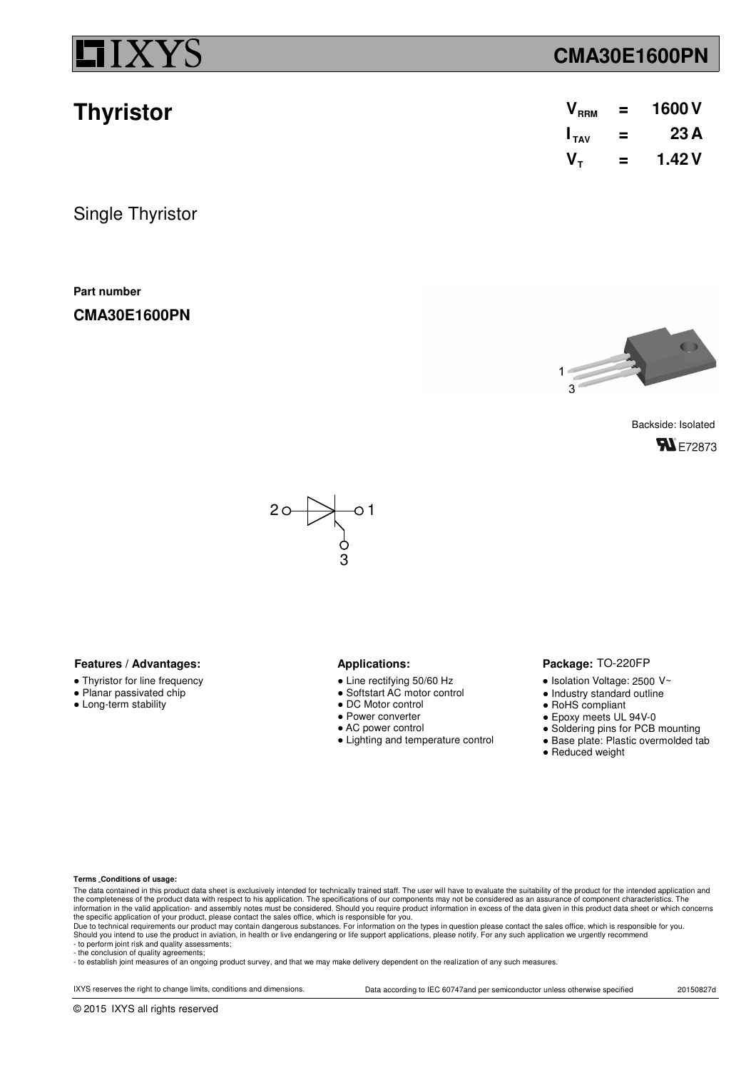**Thyristor**

## **CMA30E1600PN**

| V <sub>RRM</sub> | = | 1600V  |
|------------------|---|--------|
| $I_{TAV}$        | = | 23 A   |
| V <sub>τ</sub>   | ⋍ | 1.42 V |

Single Thyristor

**Part number**

**CMA30E1600PN**



Backside: Isolated **FN** E72873



### **Features / Advantages:** Applications:

- Thyristor for line frequency
- Planar passivated chip
- Long-term stability

- Line rectifying 50/60 Hz
- Softstart AC motor control
- DC Motor control
- Power converter
- AC power control
- Lighting and temperature control

### Package: TO-220FP

- $\bullet$  Isolation Voltage: 2500 V~
- Industry standard outline
- RoHS compliant
- Epoxy meets UL 94V-0
- Soldering pins for PCB mounting
- Base plate: Plastic overmolded tab
- Reduced weight

### **Terms Conditions of usage:**

The data contained in this product data sheet is exclusively intended for technically trained staff. The user will have to evaluate the suitability of the product for the intended application and<br>the completeness of the pr information in the valid application- and assembly notes must be considered. Should you require product information in excess of the data given in this product data sheet or which concerns<br>the specific application of your

- to perform joint risk and quality assessments; - the conclusion of quality agreements;

- to establish joint measures of an ongoing product survey, and that we may make delivery dependent on the realization of any such measures.

IXYS reserves the right to change limits, conditions and dimensions. Data according to IEC 60747and per semiconductor unless otherwise specified 20150827d

© 2015 IXYS all rights reserved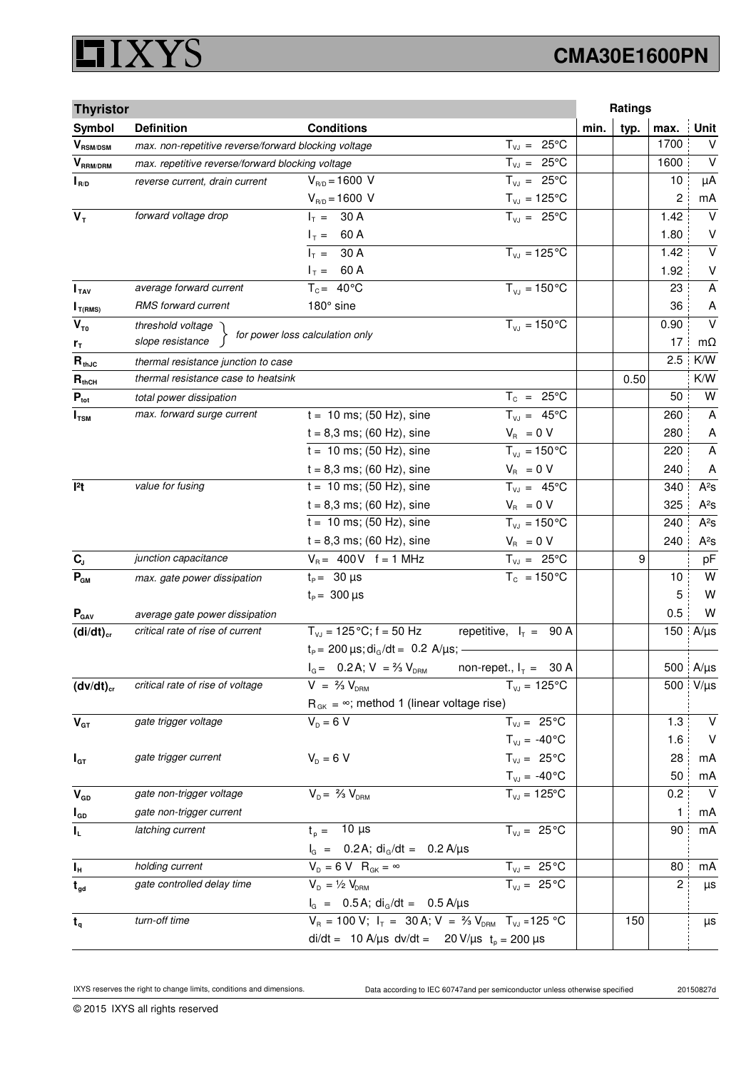## **XYS** Ľ

# **CMA30E1600PN**

| <b>Thyristor</b>          |                                                      |                                                                             |                                | Ratings      |      |                         |
|---------------------------|------------------------------------------------------|-----------------------------------------------------------------------------|--------------------------------|--------------|------|-------------------------|
| Symbol                    | <b>Definition</b>                                    | <b>Conditions</b>                                                           |                                | typ.<br>min. | max. | <b>Unit</b>             |
| $\bm{V}_{\text{RSM/DSM}}$ | max. non-repetitive reverse/forward blocking voltage |                                                                             | $T_{VJ} = 25^{\circ}C$         |              | 1700 | $\vee$                  |
| $\bm{V}_{\text{RRM/DRM}}$ | max. repetitive reverse/forward blocking voltage     |                                                                             | $T_{VJ} = 25^{\circ}C$         |              | 1600 | $\vee$                  |
| $I_{R/D}$                 | reverse current, drain current                       | $V_{R/D} = 1600 V$                                                          | $T_{VJ} = 25^{\circ}C$         |              | 10   | μA                      |
|                           |                                                      | $V_{R/D} = 1600 V$                                                          | $T_{\nu J} = 125$ °C           |              | 2    | mA                      |
| $V_T$                     | forward voltage drop                                 | $I_T = 30 A$                                                                | $T_{V,1} = 25^{\circ}C$        |              | 1.42 | $\vee$                  |
|                           |                                                      | $I_T = 60 A$                                                                |                                |              | 1.80 | V                       |
|                           |                                                      | $I_T = 30 A$                                                                | $T_{VJ} = 125$ °C              |              | 1.42 | $\overline{\mathsf{v}}$ |
|                           |                                                      | $I_T = 60 A$                                                                |                                |              | 1.92 | $\sf V$                 |
| I <sub>TAV</sub>          | average forward current                              | $T_c = 40^{\circ}$ C                                                        | $T_{VJ} = 150^{\circ}C$        |              | 23   | A                       |
| $I_{T(RMS)}$              | RMS forward current                                  | 180° sine                                                                   |                                |              | 36   | A                       |
| $V_{\tau_0}$              | threshold voltage                                    | for power loss calculation only                                             | $T_{VJ} = 150 °C$              |              | 0.90 | $\vee$                  |
| r <sub>T</sub>            | slope resistance                                     |                                                                             |                                |              | 17   | $m\Omega$               |
| $R_{thJC}$                | thermal resistance junction to case                  |                                                                             |                                |              | 2.5  | K/W                     |
| $R_{thCH}$                | thermal resistance case to heatsink                  |                                                                             |                                | 0.50         |      | K/W                     |
| $P_{\text{tot}}$          | total power dissipation                              |                                                                             | $T_c = 25^{\circ}C$            |              | 50   | W                       |
| $I_{\text{TSM}}$          | max. forward surge current                           | $t = 10$ ms; (50 Hz), sine                                                  | $T_{VJ} = 45^{\circ}C$         |              | 260  | A                       |
|                           |                                                      | $t = 8,3$ ms; (60 Hz), sine                                                 | $V_{\rm R} = 0 V$              |              | 280  | A                       |
|                           |                                                      | $t = 10$ ms; (50 Hz), sine                                                  | $T_{VJ} = 150^{\circ}C$        |              | 220  | $\overline{\mathsf{A}}$ |
|                           |                                                      | $t = 8,3$ ms; (60 Hz), sine                                                 | $V_{B} = 0 V$                  |              | 240  | A                       |
| 12t                       | value for fusing                                     | $t = 10$ ms; (50 Hz), sine                                                  | $T_{VJ} = 45^{\circ}C$         |              | 340  | $A^2S$                  |
|                           |                                                      | $t = 8,3$ ms; (60 Hz), sine                                                 | $V_R = 0 V$                    |              | 325  | $A^2S$                  |
|                           |                                                      | $t = 10$ ms; (50 Hz), sine                                                  | $T_{VJ} = 150^{\circ}C$        |              | 240  | $A^2S$                  |
|                           |                                                      | $t = 8,3$ ms; (60 Hz), sine                                                 | $V_{\rm R} = 0 V$              |              | 240  | $A^2S$                  |
| $C_{J}$                   | junction capacitance                                 | $V_B = 400V$ f = 1 MHz                                                      | $T_{VJ} = 25^{\circ}C$         |              | 9    | pF                      |
| $P_{GM}$                  | max. gate power dissipation                          | $t_{\text{p}} = 30 \text{ }\mu\text{s}$                                     | $T_c = 150^{\circ}$ C          |              | 10   | W                       |
|                           |                                                      | $t_{\rm p} = 300 \,\mu s$                                                   |                                |              | 5    | W                       |
| $P_{\text{GAV}}$          | average gate power dissipation                       |                                                                             |                                |              | 0.5  | W                       |
| $(di/dt)_{cr}$            | critical rate of rise of current                     | $T_{V,I}$ = 125 °C; f = 50 Hz                                               | repetitive, $I_T = 90 A$       |              | 150  | $A/\mu s$               |
|                           |                                                      | $t_P = 200 \,\mu s$ ; di <sub>G</sub> /dt = 0.2 A/ $\mu s$ ; -              |                                |              |      |                         |
|                           |                                                      | $I_{G} = 0.2$ A; $V = \frac{2}{3} V_{DBM}$                                  | non-repet., $I_T = 30$ A       |              |      | 500 A/µs                |
| $(dv/dt)_{cr}$            | critical rate of rise of voltage                     | $V = \frac{2}{3} V_{DBM}$                                                   | $T_{VJ} = 125^{\circ}C$        |              | 500  | $V/\mu s$               |
|                           |                                                      | $R_{gK} = \infty$ ; method 1 (linear voltage rise)                          |                                |              |      |                         |
| $\mathbf{V}_{\text{GT}}$  | gate trigger voltage                                 | $V_{\rm p} = 6 V$                                                           | $T_{VJ} = 25^{\circ}C$         |              | 1.3  | $\vee$                  |
|                           |                                                      |                                                                             | $T_{VJ} = -40\degree C$        |              | 1.6  | V                       |
| $I_{GT}$                  | gate trigger current                                 | $V_{D} = 6 V$                                                               | $T_{VJ} = 25^{\circ}C$         |              | 28   | mA                      |
|                           |                                                      |                                                                             | $T_{\text{VJ}} = -40^{\circ}C$ |              | 50   | mA                      |
| $V_{GD}$                  | gate non-trigger voltage                             | $V_{D} = \frac{2}{3} V_{DBM}$                                               | $\overline{T}_{vJ}$ = 125°C    |              | 0.2  | $\vee$                  |
| $I_{GD}$                  | gate non-trigger current                             |                                                                             |                                |              | 1    | mA                      |
| IL.                       | latching current                                     | $t_{p} = 10 \mu s$                                                          | $T_{VJ} = 25^{\circ}C$         |              | 90   | mA                      |
|                           |                                                      | $I_G$ = 0.2 A; $di_G/dt$ = 0.2 A/ $\mu$ s                                   |                                |              |      |                         |
| $I_H$                     | holding current                                      | $V_{D} = 6 V R_{GK} = \infty$                                               | $T_{VJ} = 25^{\circ}C$         |              | 80   | mA                      |
| $t_{gd}$                  | gate controlled delay time                           | $V_{D} = \frac{1}{2} V_{DRM}$                                               | $T_{VJ} = 25^{\circ}C$         |              | 2    | μs                      |
|                           |                                                      | $I_G = 0.5A$ ; di <sub>G</sub> /dt = 0.5 A/µs                               |                                |              |      |                         |
| $t_{q}$                   | turn-off time                                        | $V_R = 100 V; I_T = 30 A; V = \frac{2}{3} V_{DRM}$ T <sub>VJ</sub> = 125 °C |                                | 150          |      | μs                      |
|                           | di/dt = 10 A/µs dv/dt = 20 V/µs $t_p = 200 \mu s$    |                                                                             |                                |              |      |                         |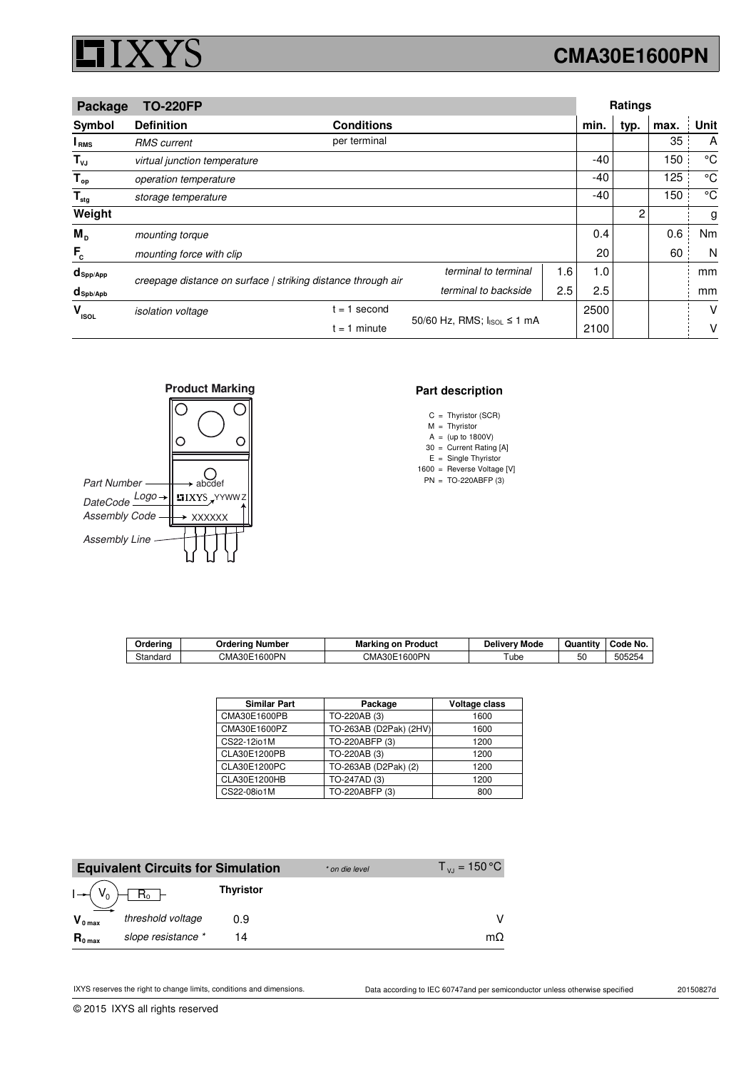## **CMA30E1600PN**

|                        | Package<br><b>TO-220FP</b>                                   |                   |                            |     | <b>Ratings</b> |      |      |             |  |
|------------------------|--------------------------------------------------------------|-------------------|----------------------------|-----|----------------|------|------|-------------|--|
| Symbol                 | <b>Definition</b>                                            | <b>Conditions</b> |                            |     | min.           | typ. | max. | Unit        |  |
| I <sub>RMS</sub>       | <b>RMS</b> current                                           | per terminal      |                            |     |                |      | 35   | A           |  |
| $T_{\nu J}$            | virtual junction temperature                                 |                   |                            |     | $-40$          |      | 150  | °C          |  |
| $T_{op}$               | operation temperature                                        |                   |                            |     | $-40$          |      | 125  | $^{\circ}C$ |  |
| $T_{\text{stg}}$       | storage temperature                                          |                   |                            |     | $-40$          |      | 150  | $^{\circ}C$ |  |
| Weight                 |                                                              |                   |                            |     |                | 2    |      | g           |  |
| $M_{\rm p}$            | mounting torque                                              |                   |                            |     | 0.4            |      | 0.6  | Nm          |  |
| $F_c$                  | mounting force with clip                                     |                   |                            |     | 20             |      | 60   | N           |  |
| $d_{\mathsf{Spp/App}}$ | creepage distance on surface   striking distance through air |                   | terminal to terminal       | 1.6 | 1.0            |      |      | mm          |  |
| $d_{\text{Spb/Apb}}$   |                                                              |                   | terminal to backside       | 2.5 | 2.5            |      |      | mm          |  |
| v<br><b>ISOL</b>       | <i>isolation</i> voltage                                     | $= 1$ second      |                            |     | 2500           |      |      | v           |  |
|                        | $t = 1$ minute                                               |                   | 50/60 Hz, RMS; IsoL ≤ 1 mA |     | 2100           |      |      | v           |  |



### **Part description**

- C Thyristor (SCR) =
- M Thyristor =
- A (up to 1800V) =
- 30  $E =$  Single Thyristor = Current Rating [A]
- 1600 = Reverse Voltage [V]
- $PN = TO-220ABFP(3)$ =

| Orderina           | Ordering Number               | Marking on<br>⊦Product | Deliverv Mode | Quantity | Code No. |
|--------------------|-------------------------------|------------------------|---------------|----------|----------|
| $\sim$<br>Standard | 1600PN<br>CMA30E <sup>.</sup> | CMA30E1600PN           | ube           | 50       | 505254   |

| <b>Similar Part</b> | Package                | Voltage class |
|---------------------|------------------------|---------------|
| CMA30E1600PB        | TO-220AB (3)           | 1600          |
| CMA30E1600PZ        | TO-263AB (D2Pak) (2HV) | 1600          |
| CS22-12io1M         | TO-220ABFP (3)         | 1200          |
| CLA30E1200PB        | TO-220AB (3)           | 1200          |
| CLA30E1200PC        | TO-263AB (D2Pak) (2)   | 1200          |
| CLA30E1200HB        | TO-247AD (3)           | 1200          |
| CS22-08io1M         | TO-220ABFP (3)         | 800           |

|                     | <b>Equivalent Circuits for Simulation</b> |                  | * on die level | $T_{\rm{v}} = 150 \,^{\circ}\text{C}$ |
|---------------------|-------------------------------------------|------------------|----------------|---------------------------------------|
| $I - (V_0)$         |                                           | <b>Thyristor</b> |                |                                       |
| $V_{0 \text{ max}}$ | threshold voltage                         | 0.9              |                |                                       |
| $R_{0 \text{ max}}$ | slope resistance *                        | 14               |                | mΩ                                    |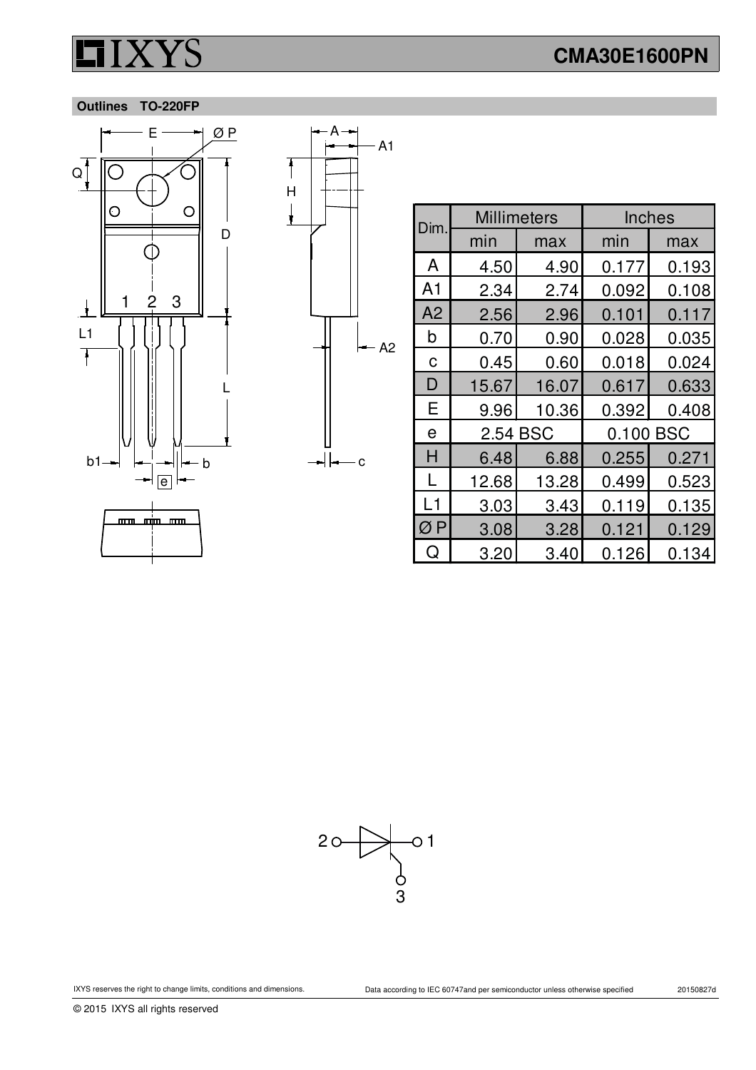### **Outlines TO-220FP**





| Dim.           | <b>Millimeters</b> |       | <b>Inches</b> |       |  |
|----------------|--------------------|-------|---------------|-------|--|
|                | min                | max   | min           | max   |  |
| A              | 4.50               | 4.90  | 0.177         | 0.193 |  |
| A <sub>1</sub> | 2.34               | 2.74  | 0.092         | 0.108 |  |
| A <sub>2</sub> | 2.56               | 2.96  | 0.101         | 0.117 |  |
| b              | 0.70               | 0.90  | 0.028         | 0.035 |  |
| C              | 0.45               | 0.60  | 0.018         | 0.024 |  |
| D              | 15.67              | 16.07 | 0.617         | 0.633 |  |
| Е              | 9.96               | 10.36 | 0.392         | 0.408 |  |
| e              | 2.54 BSC           |       | BSC<br>0.100  |       |  |
| H              | 6.48               | 6.88  | 0.255         | 0.271 |  |
| L              | 12.68              | 13.28 | 0.499         | 0.523 |  |
| L1             | 3.03               | 3.43  | 0.119         | 0.135 |  |
| ØP             | 3.08               | 3.28  | 0.121         | 0.129 |  |
| Q              | 3.20               | 3.40  | 0.126         | 0.134 |  |